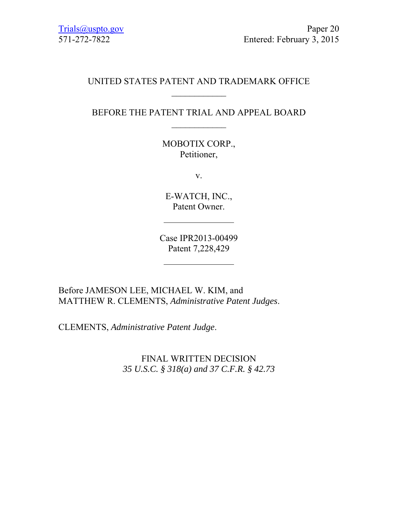## UNITED STATES PATENT AND TRADEMARK OFFICE  $\frac{1}{2}$

# BEFORE THE PATENT TRIAL AND APPEAL BOARD  $\frac{1}{2}$

MOBOTIX CORP., Petitioner,

v.

E-WATCH, INC., Patent Owner.

Case IPR2013-00499 Patent 7,228,429

Before JAMESON LEE, MICHAEL W. KIM, and MATTHEW R. CLEMENTS, *Administrative Patent Judges*.

CLEMENTS, *Administrative Patent Judge*.

FINAL WRITTEN DECISION *35 U.S.C. § 318(a) and 37 C.F.R. § 42.73*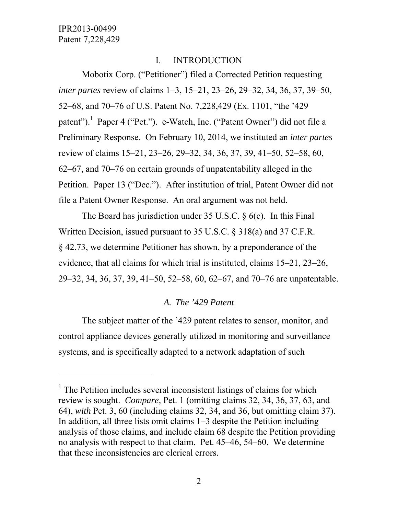$\overline{a}$ 

## I. INTRODUCTION

Mobotix Corp. ("Petitioner") filed a Corrected Petition requesting *inter partes* review of claims 1–3, 15–21, 23–26, 29–32, 34, 36, 37, 39–50, 52–68, and 70–76 of U.S. Patent No. 7,228,429 (Ex. 1101, "the '429 patent").<sup>1</sup> Paper 4 ("Pet."). e-Watch, Inc. ("Patent Owner") did not file a Preliminary Response. On February 10, 2014, we instituted an *inter partes*  review of claims 15–21, 23–26, 29–32, 34, 36, 37, 39, 41–50, 52–58, 60, 62–67, and 70–76 on certain grounds of unpatentability alleged in the Petition. Paper 13 ("Dec."). After institution of trial, Patent Owner did not file a Patent Owner Response. An oral argument was not held.

The Board has jurisdiction under 35 U.S.C. § 6(c). In this Final Written Decision, issued pursuant to 35 U.S.C. § 318(a) and 37 C.F.R. § 42.73, we determine Petitioner has shown, by a preponderance of the evidence, that all claims for which trial is instituted, claims 15–21, 23–26, 29–32, 34, 36, 37, 39, 41–50, 52–58, 60, 62–67, and 70–76 are unpatentable.

## *A. The '429 Patent*

The subject matter of the '429 patent relates to sensor, monitor, and control appliance devices generally utilized in monitoring and surveillance systems, and is specifically adapted to a network adaptation of such

<sup>&</sup>lt;sup>1</sup> The Petition includes several inconsistent listings of claims for which review is sought. *Compare,* Pet. 1 (omitting claims 32, 34, 36, 37, 63, and 64), *with* Pet. 3, 60 (including claims 32, 34, and 36, but omitting claim 37). In addition, all three lists omit claims 1–3 despite the Petition including analysis of those claims, and include claim 68 despite the Petition providing no analysis with respect to that claim. Pet. 45–46, 54–60. We determine that these inconsistencies are clerical errors.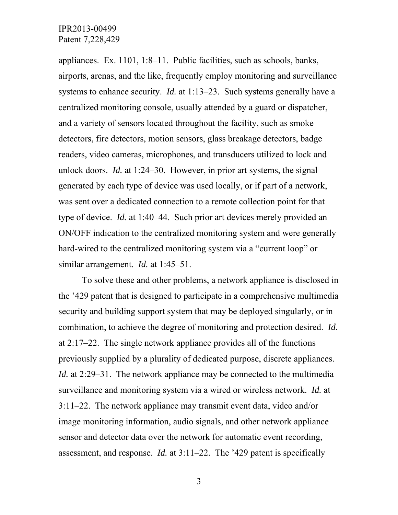appliances. Ex. 1101, 1:8–11. Public facilities, such as schools, banks, airports, arenas, and the like, frequently employ monitoring and surveillance systems to enhance security. *Id.* at 1:13–23. Such systems generally have a centralized monitoring console, usually attended by a guard or dispatcher, and a variety of sensors located throughout the facility, such as smoke detectors, fire detectors, motion sensors, glass breakage detectors, badge readers, video cameras, microphones, and transducers utilized to lock and unlock doors. *Id.* at 1:24–30. However, in prior art systems, the signal generated by each type of device was used locally, or if part of a network, was sent over a dedicated connection to a remote collection point for that type of device. *Id.* at 1:40–44. Such prior art devices merely provided an ON/OFF indication to the centralized monitoring system and were generally hard-wired to the centralized monitoring system via a "current loop" or similar arrangement. *Id.* at 1:45–51.

To solve these and other problems, a network appliance is disclosed in the '429 patent that is designed to participate in a comprehensive multimedia security and building support system that may be deployed singularly, or in combination, to achieve the degree of monitoring and protection desired. *Id.* at 2:17–22. The single network appliance provides all of the functions previously supplied by a plurality of dedicated purpose, discrete appliances. *Id.* at 2:29–31. The network appliance may be connected to the multimedia surveillance and monitoring system via a wired or wireless network. *Id.* at 3:11–22. The network appliance may transmit event data, video and/or image monitoring information, audio signals, and other network appliance sensor and detector data over the network for automatic event recording, assessment, and response. *Id.* at 3:11–22. The '429 patent is specifically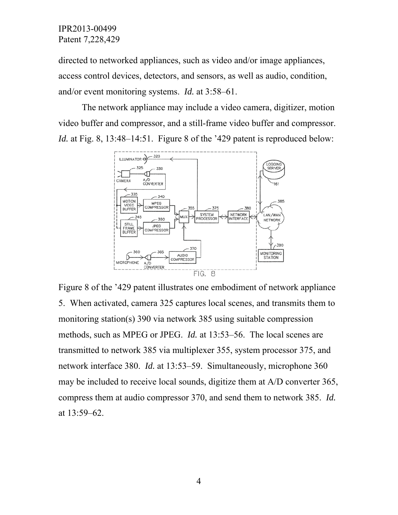directed to networked appliances, such as video and/or image appliances, access control devices, detectors, and sensors, as well as audio, condition, and/or event monitoring systems. *Id.* at 3:58–61.

The network appliance may include a video camera, digitizer, motion video buffer and compressor, and a still-frame video buffer and compressor. *Id.* at Fig. 8, 13:48–14:51. Figure 8 of the '429 patent is reproduced below:



Figure 8 of the '429 patent illustrates one embodiment of network appliance 5. When activated, camera 325 captures local scenes, and transmits them to monitoring station(s) 390 via network 385 using suitable compression methods, such as MPEG or JPEG. *Id.* at 13:53–56. The local scenes are transmitted to network 385 via multiplexer 355, system processor 375, and network interface 380. *Id.* at 13:53–59. Simultaneously, microphone 360 may be included to receive local sounds, digitize them at A/D converter 365, compress them at audio compressor 370, and send them to network 385. *Id.* at 13:59–62.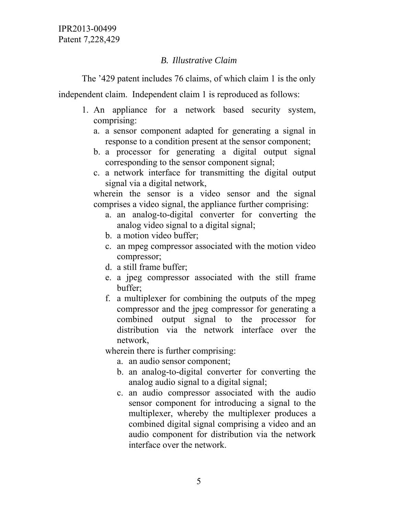# *B. Illustrative Claim*

The '429 patent includes 76 claims, of which claim 1 is the only

independent claim. Independent claim 1 is reproduced as follows:

- 1. An appliance for a network based security system, comprising:
	- a. a sensor component adapted for generating a signal in response to a condition present at the sensor component;
	- b. a processor for generating a digital output signal corresponding to the sensor component signal;
	- c. a network interface for transmitting the digital output signal via a digital network,

wherein the sensor is a video sensor and the signal comprises a video signal, the appliance further comprising:

- a. an analog-to-digital converter for converting the analog video signal to a digital signal;
- b. a motion video buffer;
- c. an mpeg compressor associated with the motion video compressor;
- d. a still frame buffer;
- e. a jpeg compressor associated with the still frame buffer;
- f. a multiplexer for combining the outputs of the mpeg compressor and the jpeg compressor for generating a combined output signal to the processor for distribution via the network interface over the network,

wherein there is further comprising:

- a. an audio sensor component;
- b. an analog-to-digital converter for converting the analog audio signal to a digital signal;
- c. an audio compressor associated with the audio sensor component for introducing a signal to the multiplexer, whereby the multiplexer produces a combined digital signal comprising a video and an audio component for distribution via the network interface over the network.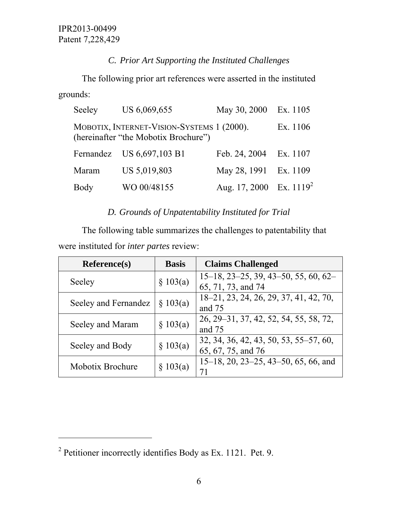# *C. Prior Art Supporting the Instituted Challenges*

 The following prior art references were asserted in the instituted grounds:

| Seeley                                                                                         | US 6,069,655              | May 30, 2000               | Ex. 1105 |  |  |
|------------------------------------------------------------------------------------------------|---------------------------|----------------------------|----------|--|--|
| MOBOTIX, INTERNET-VISION-SYSTEMS 1 (2000).<br>Ex. 1106<br>(hereinafter "the Mobotix Brochure") |                           |                            |          |  |  |
|                                                                                                | Fernandez US 6,697,103 B1 | Feb. 24, 2004 Ex. 1107     |          |  |  |
| Maram                                                                                          | US 5,019,803              | May 28, 1991 Ex. 1109      |          |  |  |
| Body                                                                                           | WO 00/48155               | Aug. 17, 2000 Ex. $1119^2$ |          |  |  |

# *D. Grounds of Unpatentability Instituted for Trial*

The following table summarizes the challenges to patentability that were instituted for *inter partes* review:

| <b>Reference(s)</b>  | <b>Basis</b> | <b>Claims Challenged</b>                                 |
|----------------------|--------------|----------------------------------------------------------|
|                      | \$103(a)     | $15-18$ , $23-25$ , $39$ , $43-50$ , $55$ , $60$ , $62-$ |
| Seeley               |              | 65, 71, 73, and 74                                       |
|                      | \$103(a)     | 18–21, 23, 24, 26, 29, 37, 41, 42, 70,                   |
| Seeley and Fernandez |              | and 75                                                   |
|                      | \$103(a)     | 26, 29–31, 37, 42, 52, 54, 55, 58, 72,                   |
| Seeley and Maram     |              | and 75                                                   |
|                      | \$103(a)     | 32, 34, 36, 42, 43, 50, 53, 55–57, 60,                   |
| Seeley and Body      |              | 65, 67, 75, and 76                                       |
| Mobotix Brochure     | \$103(a)     | $15-18$ , 20, 23-25, 43-50, 65, 66, and                  |
|                      |              | 71                                                       |

 $\overline{a}$ 

<sup>&</sup>lt;sup>2</sup> Petitioner incorrectly identifies Body as Ex. 1121. Pet. 9.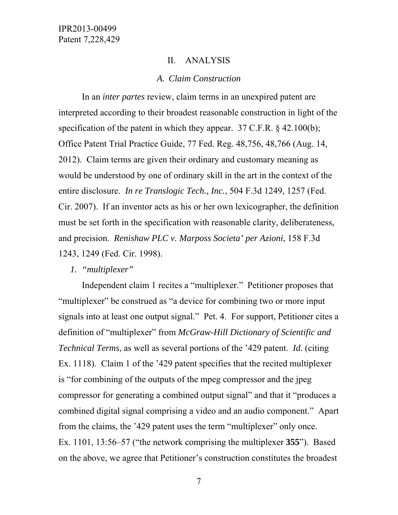#### II. ANALYSIS

#### *A. Claim Construction*

In an *inter partes* review, claim terms in an unexpired patent are interpreted according to their broadest reasonable construction in light of the specification of the patent in which they appear. 37 C.F.R. § 42.100(b); Office Patent Trial Practice Guide, 77 Fed. Reg. 48,756, 48,766 (Aug. 14, 2012). Claim terms are given their ordinary and customary meaning as would be understood by one of ordinary skill in the art in the context of the entire disclosure. *In re Translogic Tech., Inc.*, 504 F.3d 1249, 1257 (Fed. Cir. 2007). If an inventor acts as his or her own lexicographer, the definition must be set forth in the specification with reasonable clarity, deliberateness, and precision. *Renishaw PLC v. Marposs Societa' per Azioni*, 158 F.3d 1243, 1249 (Fed. Cir. 1998).

## *1. "multiplexer"*

Independent claim 1 recites a "multiplexer." Petitioner proposes that "multiplexer" be construed as "a device for combining two or more input signals into at least one output signal." Pet. 4. For support, Petitioner cites a definition of "multiplexer" from *McGraw-Hill Dictionary of Scientific and Technical Terms*, as well as several portions of the '429 patent. *Id.* (citing Ex. 1118). Claim 1 of the '429 patent specifies that the recited multiplexer is "for combining of the outputs of the mpeg compressor and the jpeg compressor for generating a combined output signal" and that it "produces a combined digital signal comprising a video and an audio component." Apart from the claims, the '429 patent uses the term "multiplexer" only once. Ex. 1101, 13:56–57 ("the network comprising the multiplexer **355**"). Based on the above, we agree that Petitioner's construction constitutes the broadest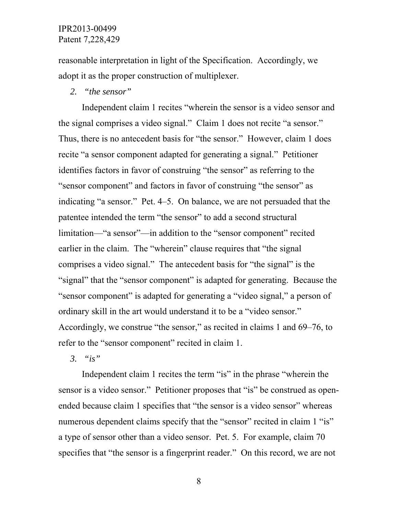reasonable interpretation in light of the Specification. Accordingly, we adopt it as the proper construction of multiplexer.

#### *2. "the sensor"*

Independent claim 1 recites "wherein the sensor is a video sensor and the signal comprises a video signal." Claim 1 does not recite "a sensor." Thus, there is no antecedent basis for "the sensor." However, claim 1 does recite "a sensor component adapted for generating a signal." Petitioner identifies factors in favor of construing "the sensor" as referring to the "sensor component" and factors in favor of construing "the sensor" as indicating "a sensor." Pet. 4–5. On balance, we are not persuaded that the patentee intended the term "the sensor" to add a second structural limitation—"a sensor"—in addition to the "sensor component" recited earlier in the claim. The "wherein" clause requires that "the signal comprises a video signal." The antecedent basis for "the signal" is the "signal" that the "sensor component" is adapted for generating. Because the "sensor component" is adapted for generating a "video signal," a person of ordinary skill in the art would understand it to be a "video sensor." Accordingly, we construe "the sensor," as recited in claims 1 and 69–76, to refer to the "sensor component" recited in claim 1.

*3. "is"* 

Independent claim 1 recites the term "is" in the phrase "wherein the sensor is a video sensor." Petitioner proposes that "is" be construed as openended because claim 1 specifies that "the sensor is a video sensor" whereas numerous dependent claims specify that the "sensor" recited in claim 1 "is" a type of sensor other than a video sensor. Pet. 5. For example, claim 70 specifies that "the sensor is a fingerprint reader." On this record, we are not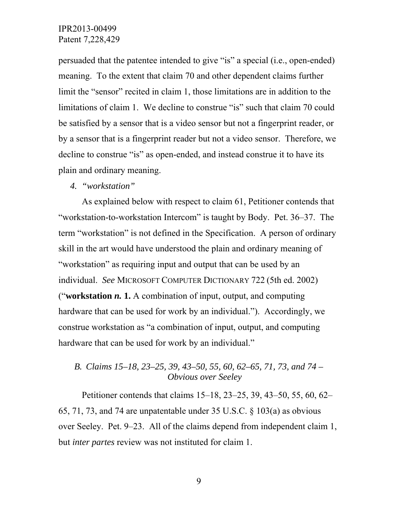persuaded that the patentee intended to give "is" a special (i.e., open-ended) meaning. To the extent that claim 70 and other dependent claims further limit the "sensor" recited in claim 1, those limitations are in addition to the limitations of claim 1. We decline to construe "is" such that claim 70 could be satisfied by a sensor that is a video sensor but not a fingerprint reader, or by a sensor that is a fingerprint reader but not a video sensor. Therefore, we decline to construe "is" as open-ended, and instead construe it to have its plain and ordinary meaning.

#### *4. "workstation"*

As explained below with respect to claim 61, Petitioner contends that "workstation-to-workstation Intercom" is taught by Body. Pet. 36–37. The term "workstation" is not defined in the Specification. A person of ordinary skill in the art would have understood the plain and ordinary meaning of "workstation" as requiring input and output that can be used by an individual. *See* MICROSOFT COMPUTER DICTIONARY 722 (5th ed. 2002) ("**workstation** *n.* **1.** A combination of input, output, and computing hardware that can be used for work by an individual."). Accordingly, we construe workstation as "a combination of input, output, and computing hardware that can be used for work by an individual."

## *B. Claims 15–18, 23–25, 39, 43–50, 55, 60, 62–65, 71, 73, and 74 – Obvious over Seeley*

Petitioner contends that claims 15–18, 23–25, 39, 43–50, 55, 60, 62– 65, 71, 73, and 74 are unpatentable under 35 U.S.C. § 103(a) as obvious over Seeley. Pet. 9–23. All of the claims depend from independent claim 1, but *inter partes* review was not instituted for claim 1.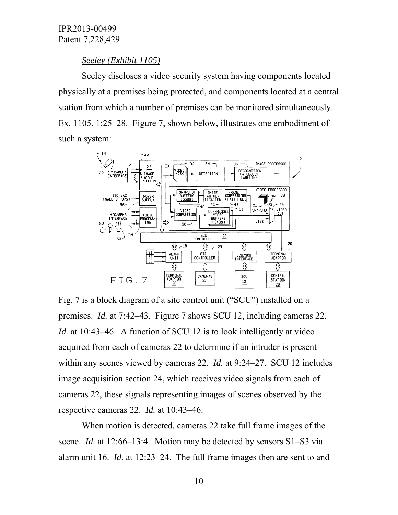#### *Seeley (Exhibit 1105)*

Seeley discloses a video security system having components located physically at a premises being protected, and components located at a central station from which a number of premises can be monitored simultaneously. Ex. 1105, 1:25–28. Figure 7, shown below, illustrates one embodiment of such a system:



Fig. 7 is a block diagram of a site control unit ("SCU") installed on a premises. *Id.* at 7:42–43. Figure 7 shows SCU 12, including cameras 22. *Id.* at 10:43–46. A function of SCU 12 is to look intelligently at video acquired from each of cameras 22 to determine if an intruder is present within any scenes viewed by cameras 22. *Id.* at 9:24–27. SCU 12 includes image acquisition section 24, which receives video signals from each of cameras 22, these signals representing images of scenes observed by the respective cameras 22. *Id.* at 10:43–46.

When motion is detected, cameras 22 take full frame images of the scene. *Id.* at 12:66–13:4. Motion may be detected by sensors S1–S3 via alarm unit 16. *Id.* at 12:23–24. The full frame images then are sent to and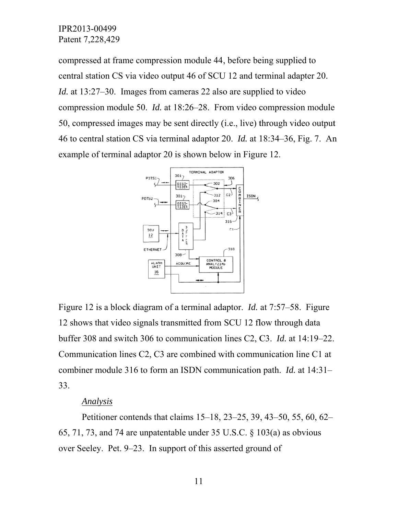compressed at frame compression module 44, before being supplied to central station CS via video output 46 of SCU 12 and terminal adapter 20. *Id.* at 13:27–30. Images from cameras 22 also are supplied to video compression module 50. *Id.* at 18:26–28. From video compression module 50, compressed images may be sent directly (i.e., live) through video output 46 to central station CS via terminal adaptor 20. *Id.* at 18:34–36, Fig. 7. An example of terminal adaptor 20 is shown below in Figure 12. e<br>ut<br>...



Figure 12 is a block diagram of a terminal adaptor. *Id.* at 7:57–58. Figure 12 shows that video signals transmitted from SCU 12 flow through data buffer 308 and switch 306 to communication lines C2, C3. *Id.* at 14:19–22. Communication lines C2, C3 are combined with communication line C1 at combiner module 316 to form an ISDN communication path. *Id.* at 14:31– 33.

#### *Analysis s*

65, 71, 73, and 74 are unpatentable under  $35 \text{ U.S.C.}$  §  $103(a)$  as obvious over Seeley. Pet. 9–23. In support of this asserted ground of Petitioner contends that claims 15–18, 23–25, 39, 43–50, 55, 60, 62–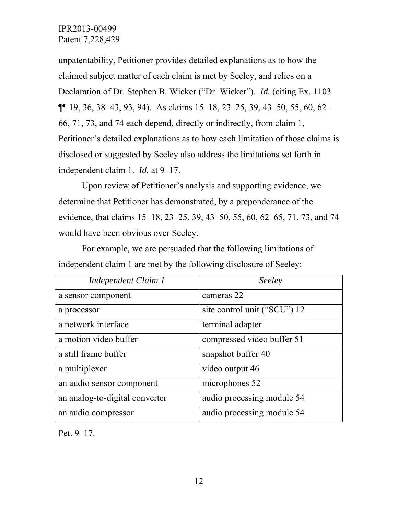unpatentability, Petitioner provides detailed explanations as to how the claimed subject matter of each claim is met by Seeley, and relies on a Declaration of Dr. Stephen B. Wicker ("Dr. Wicker"). *Id.* (citing Ex. 1103 ¶¶ 19, 36, 38–43, 93, 94). As claims 15–18, 23–25, 39, 43–50, 55, 60, 62– 66, 71, 73, and 74 each depend, directly or indirectly, from claim 1, Petitioner's detailed explanations as to how each limitation of those claims is disclosed or suggested by Seeley also address the limitations set forth in independent claim 1. *Id.* at 9–17.

Upon review of Petitioner's analysis and supporting evidence, we determine that Petitioner has demonstrated, by a preponderance of the evidence, that claims 15–18, 23–25, 39, 43–50, 55, 60, 62–65, 71, 73, and 74 would have been obvious over Seeley.

*Independent Claim 1 Seeley*  a sensor component cameras 22 a processor site control unit ("SCU") 12 a network interface the terminal adapter a motion video buffer compressed video buffer 51 a still frame buffer solution is snapshot buffer 40 a multiplexer video output 46 an audio sensor component microphones 52 an analog-to-digital converter audio processing module 54 an audio compressor audio processing module 54

For example, we are persuaded that the following limitations of independent claim 1 are met by the following disclosure of Seeley:

Pet. 9–17.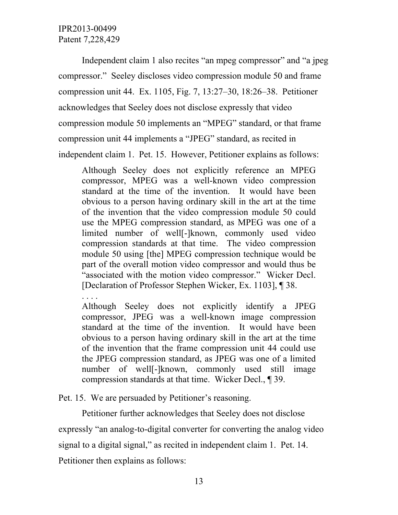Independent claim 1 also recites "an mpeg compressor" and "a jpeg compressor." Seeley discloses video compression module 50 and frame compression unit 44. Ex. 1105, Fig. 7, 13:27–30, 18:26–38. Petitioner acknowledges that Seeley does not disclose expressly that video compression module 50 implements an "MPEG" standard, or that frame compression unit 44 implements a "JPEG" standard, as recited in independent claim 1. Pet. 15. However, Petitioner explains as follows:

Although Seeley does not explicitly reference an MPEG compressor, MPEG was a well-known video compression standard at the time of the invention. It would have been obvious to a person having ordinary skill in the art at the time of the invention that the video compression module 50 could use the MPEG compression standard, as MPEG was one of a limited number of well[-]known, commonly used video compression standards at that time. The video compression module 50 using [the] MPEG compression technique would be part of the overall motion video compressor and would thus be "associated with the motion video compressor." Wicker Decl. [Declaration of Professor Stephen Wicker, Ex. 1103], ¶ 38.

. . . . Although Seeley does not explicitly identify a JPEG compressor, JPEG was a well-known image compression standard at the time of the invention. It would have been obvious to a person having ordinary skill in the art at the time of the invention that the frame compression unit 44 could use the JPEG compression standard, as JPEG was one of a limited number of well[-]known, commonly used still image compression standards at that time. Wicker Decl., ¶ 39.

Pet. 15. We are persuaded by Petitioner's reasoning.

Petitioner further acknowledges that Seeley does not disclose expressly "an analog-to-digital converter for converting the analog video signal to a digital signal," as recited in independent claim 1. Pet. 14. Petitioner then explains as follows: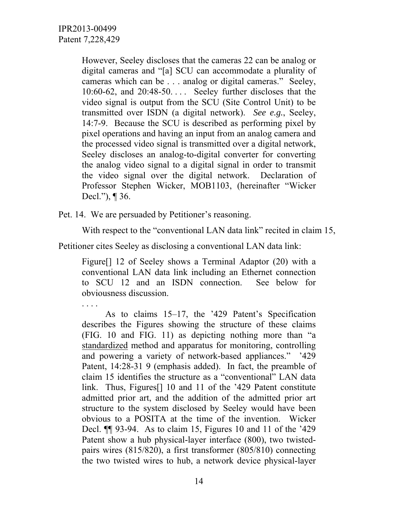. . . .

However, Seeley discloses that the cameras 22 can be analog or digital cameras and "[a] SCU can accommodate a plurality of cameras which can be . . . analog or digital cameras." Seeley, 10:60-62, and 20:48-50. . . . Seeley further discloses that the video signal is output from the SCU (Site Control Unit) to be transmitted over ISDN (a digital network). *See e.g.*, Seeley, 14:7-9. Because the SCU is described as performing pixel by pixel operations and having an input from an analog camera and the processed video signal is transmitted over a digital network, Seeley discloses an analog-to-digital converter for converting the analog video signal to a digital signal in order to transmit the video signal over the digital network. Declaration of Professor Stephen Wicker, MOB1103, (hereinafter "Wicker Decl."), ¶ 36.

Pet. 14. We are persuaded by Petitioner's reasoning.

With respect to the "conventional LAN data link" recited in claim 15,

Petitioner cites Seeley as disclosing a conventional LAN data link:

Figure[] 12 of Seeley shows a Terminal Adaptor (20) with a conventional LAN data link including an Ethernet connection to SCU 12 and an ISDN connection. See below for obviousness discussion.

 As to claims 15–17, the '429 Patent's Specification describes the Figures showing the structure of these claims (FIG. 10 and FIG. 11) as depicting nothing more than "a standardized method and apparatus for monitoring, controlling and powering a variety of network-based appliances." '429 Patent, 14:28-31 9 (emphasis added). In fact, the preamble of claim 15 identifies the structure as a "conventional" LAN data link. Thus, Figures[] 10 and 11 of the '429 Patent constitute admitted prior art, and the addition of the admitted prior art structure to the system disclosed by Seeley would have been obvious to a POSITA at the time of the invention. Wicker Decl. ¶¶ 93-94. As to claim 15, Figures 10 and 11 of the '429 Patent show a hub physical-layer interface (800), two twistedpairs wires (815/820), a first transformer (805/810) connecting the two twisted wires to hub, a network device physical-layer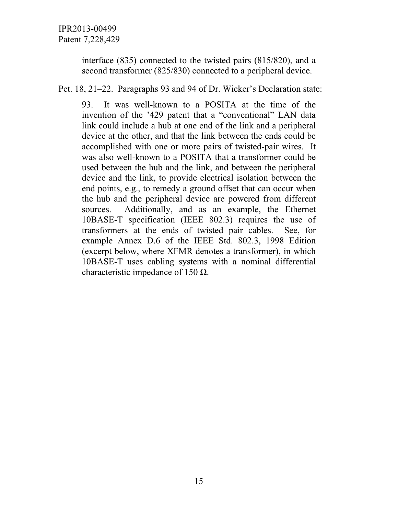interface (835) connected to the twisted pairs (815/820), and a second transformer (825/830) connected to a peripheral device.

Pet. 18, 21–22. Paragraphs 93 and 94 of Dr. Wicker's Declaration state:

93. It was well-known to a POSITA at the time of the invention of the '429 patent that a "conventional" LAN data link could include a hub at one end of the link and a peripheral device at the other, and that the link between the ends could be accomplished with one or more pairs of twisted-pair wires. It was also well-known to a POSITA that a transformer could be used between the hub and the link, and between the peripheral device and the link, to provide electrical isolation between the end points, e.g., to remedy a ground offset that can occur when the hub and the peripheral device are powered from different sources. Additionally, and as an example, the Ethernet 10BASE-T specification (IEEE 802.3) requires the use of transformers at the ends of twisted pair cables. See, for example Annex D.6 of the IEEE Std. 802.3, 1998 Edition (excerpt below, where XFMR denotes a transformer), in which 10BASE-T uses cabling systems with a nominal differential characteristic impedance of 150  $\Omega$ .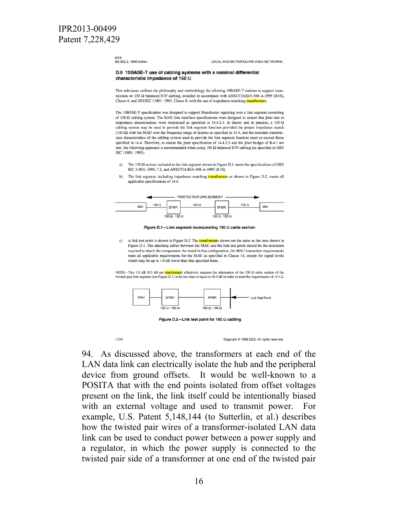**IFFF** Std 802.3, 1998 Edition

LOCAL AND METROPOLITAN AREA NETWORKS:

#### D.6 10BASE-T use of cabling systems with a nominal differential characteristic impedance of 150  $\Omega$

This subclause outlines the philosophy and methodology for allowing 10BASE-T stations to support transmission on 150  $\Omega$  balanced STP cabling, installed in accordance with ANSI/TIA/EIA-568-A-1995 [B16], Clause 4, and ISO/IEC 11801: 1995, Clause 8, with the use of impedance matching transfe

The 10BASE-T specification was designed to support Manchester signaling over a link segment consisting of 100  $\Omega$  cabling system. The MAU link interface specifications were designed to ensure that jitter due to impedance discontinuities were minimized as specified in 14.4.2.3. In theory and in practice, a 150  $\Omega$ cabling system may be used to provide the link segment function provided the proper impedance match  $(100 \Omega)$  with the MAU over the frequency range of interest as specified in 14.4, and the resultant transmission characteristics of the cabling system used to provide the link segment function meet or exceed those specified in 14.4. Therefore, to ensure the jitter specification of 14.4.2.3 and the jitter budget of B.4.1 are met, the following approach is recommended when using  $150 \Omega$  balanced STP cabling (as specified in ISO/ IEC 11801: 1995)

- The 150  $\Omega$  section included in the link segment shown in Figure D.1 meets the specifications of ISO/ IEC 11801: 1995, 7.2, and ANSI/TIA/EIA-568-A-1995 [B16].
- The link segment, including impedance matching *transformer*s as shown in Figure D.2, meets all  $\mathbf{b}$ applicable specifications of 14.4.





A link test point is shown in Figure D.2. The **transformer**s shown are the same as the ones shown in  $\mathbf{c}$ Figure D.1. The attaching cables between the MAU and the link test point should be the minimum required to attach the components. As tested in this configuration, the MAU transmitter requirements meet all applicable requirements for the MAU as specified in Clause 14, except for signal levels which may be up to 1.0 dB lower than that specified there.

NOTE-This 1.0 dB (0.5 dB per *transformer*) effectively requires the attenuation of the 150  $\Omega$  cable section of the twisted-pair link segment (see Figure D.1) to be less than or equal to 10.5 dB in order to meet the requirements of 14.4.2.



Figure D.2-Link test point for 150  $\Omega$  cabling

1104

Convright © 1998 IEEE. All rights reserved.

94. As discussed above, the transformers at each end of the LAN data link can electrically isolate the hub and the peripheral device from ground offsets. It would be well-known to a POSITA that with the end points isolated from offset voltages present on the link, the link itself could be intentionally biased with an external voltage and used to transmit power. For example, U.S. Patent 5,148,144 (to Sutterlin, et al.) describes how the twisted pair wires of a transformer-isolated LAN data link can be used to conduct power between a power supply and a regulator, in which the power supply is connected to the twisted pair side of a transformer at one end of the twisted pair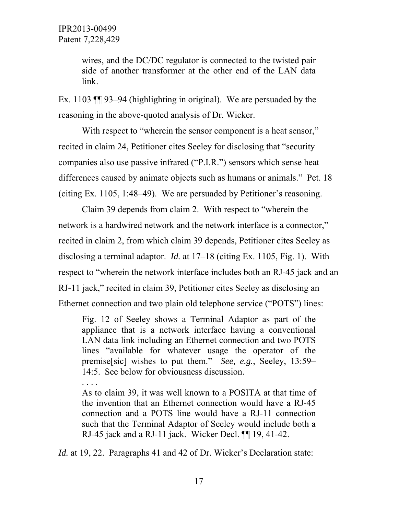wires, and the DC/DC regulator is connected to the twisted pair side of another transformer at the other end of the LAN data link.

Ex. 1103 ¶¶ 93–94 (highlighting in original). We are persuaded by the reasoning in the above-quoted analysis of Dr. Wicker.

With respect to "wherein the sensor component is a heat sensor," recited in claim 24, Petitioner cites Seeley for disclosing that "security companies also use passive infrared ("P.I.R.") sensors which sense heat differences caused by animate objects such as humans or animals." Pet. 18 (citing Ex. 1105, 1:48–49). We are persuaded by Petitioner's reasoning.

Claim 39 depends from claim 2. With respect to "wherein the network is a hardwired network and the network interface is a connector," recited in claim 2, from which claim 39 depends, Petitioner cites Seeley as disclosing a terminal adaptor. *Id.* at 17–18 (citing Ex. 1105, Fig. 1). With respect to "wherein the network interface includes both an RJ-45 jack and an RJ-11 jack," recited in claim 39, Petitioner cites Seeley as disclosing an Ethernet connection and two plain old telephone service ("POTS") lines:

Fig. 12 of Seeley shows a Terminal Adaptor as part of the appliance that is a network interface having a conventional LAN data link including an Ethernet connection and two POTS lines "available for whatever usage the operator of the premise[sic] wishes to put them." *See, e.g.*, Seeley, 13:59– 14:5. See below for obviousness discussion.

. . . . As to claim 39, it was well known to a POSITA at that time of the invention that an Ethernet connection would have a RJ-45 connection and a POTS line would have a RJ-11 connection such that the Terminal Adaptor of Seeley would include both a RJ-45 jack and a RJ-11 jack. Wicker Decl. ¶¶ 19, 41-42.

*Id.* at 19, 22. Paragraphs 41 and 42 of Dr. Wicker's Declaration state: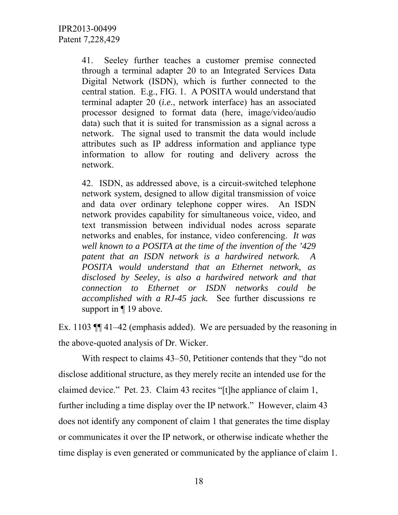41. Seeley further teaches a customer premise connected through a terminal adapter 20 to an Integrated Services Data Digital Network (ISDN), which is further connected to the central station. E.g., FIG. 1. A POSITA would understand that terminal adapter 20 (*i.e.*, network interface) has an associated processor designed to format data (here, image/video/audio data) such that it is suited for transmission as a signal across a network. The signal used to transmit the data would include attributes such as IP address information and appliance type information to allow for routing and delivery across the network.

42. ISDN, as addressed above, is a circuit-switched telephone network system, designed to allow digital transmission of voice and data over ordinary telephone copper wires. An ISDN network provides capability for simultaneous voice, video, and text transmission between individual nodes across separate networks and enables, for instance, video conferencing. *It was well known to a POSITA at the time of the invention of the '429 patent that an ISDN network is a hardwired network. A POSITA would understand that an Ethernet network, as disclosed by Seeley, is also a hardwired network and that connection to Ethernet or ISDN networks could be accomplished with a RJ-45 jack.* See further discussions re support in  $\P$  19 above.

Ex. 1103 ¶¶ 41–42 (emphasis added). We are persuaded by the reasoning in the above-quoted analysis of Dr. Wicker.

With respect to claims 43–50, Petitioner contends that they "do not disclose additional structure, as they merely recite an intended use for the claimed device." Pet. 23. Claim 43 recites "[t]he appliance of claim 1, further including a time display over the IP network." However, claim 43 does not identify any component of claim 1 that generates the time display or communicates it over the IP network, or otherwise indicate whether the time display is even generated or communicated by the appliance of claim 1.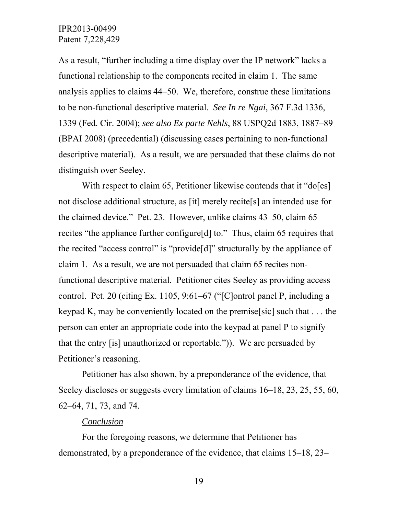As a result, "further including a time display over the IP network" lacks a functional relationship to the components recited in claim 1. The same analysis applies to claims 44–50. We, therefore, construe these limitations to be non-functional descriptive material. *See In re Ngai*, 367 F.3d 1336, 1339 (Fed. Cir. 2004); *see also Ex parte Nehls*, 88 USPQ2d 1883, 1887–89 (BPAI 2008) (precedential) (discussing cases pertaining to non-functional descriptive material). As a result, we are persuaded that these claims do not distinguish over Seeley.

With respect to claim 65, Petitioner likewise contends that it "do[es] not disclose additional structure, as [it] merely recite[s] an intended use for the claimed device." Pet. 23. However, unlike claims 43–50, claim 65 recites "the appliance further configure[d] to." Thus, claim 65 requires that the recited "access control" is "provide[d]" structurally by the appliance of claim 1. As a result, we are not persuaded that claim 65 recites nonfunctional descriptive material. Petitioner cites Seeley as providing access control. Pet. 20 (citing Ex. 1105, 9:61–67 ("[C]ontrol panel P, including a keypad K, may be conveniently located on the premise[sic] such that . . . the person can enter an appropriate code into the keypad at panel P to signify that the entry [is] unauthorized or reportable.")). We are persuaded by Petitioner's reasoning.

Petitioner has also shown, by a preponderance of the evidence, that Seeley discloses or suggests every limitation of claims 16–18, 23, 25, 55, 60, 62–64, 71, 73, and 74.

#### *Conclusion*

For the foregoing reasons, we determine that Petitioner has demonstrated, by a preponderance of the evidence, that claims 15–18, 23–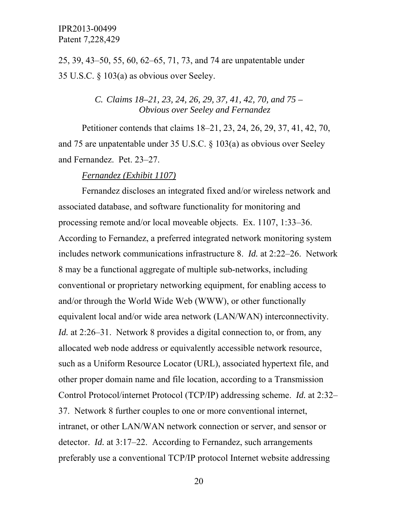25, 39, 43–50, 55, 60, 62–65, 71, 73, and 74 are unpatentable under 35 U.S.C. § 103(a) as obvious over Seeley.

## *C. Claims 18–21, 23, 24, 26, 29, 37, 41, 42, 70, and 75 – Obvious over Seeley and Fernandez*

Petitioner contends that claims 18–21, 23, 24, 26, 29, 37, 41, 42, 70, and 75 are unpatentable under 35 U.S.C. § 103(a) as obvious over Seeley and Fernandez. Pet. 23–27.

#### *Fernandez (Exhibit 1107)*

Fernandez discloses an integrated fixed and/or wireless network and associated database, and software functionality for monitoring and processing remote and/or local moveable objects. Ex. 1107, 1:33–36. According to Fernandez, a preferred integrated network monitoring system includes network communications infrastructure 8. *Id.* at 2:22–26. Network 8 may be a functional aggregate of multiple sub-networks, including conventional or proprietary networking equipment, for enabling access to and/or through the World Wide Web (WWW), or other functionally equivalent local and/or wide area network (LAN/WAN) interconnectivity. *Id.* at 2:26–31. Network 8 provides a digital connection to, or from, any allocated web node address or equivalently accessible network resource, such as a Uniform Resource Locator (URL), associated hypertext file, and other proper domain name and file location, according to a Transmission Control Protocol/internet Protocol (TCP/IP) addressing scheme. *Id.* at 2:32– 37. Network 8 further couples to one or more conventional internet, intranet, or other LAN/WAN network connection or server, and sensor or detector. *Id.* at 3:17–22. According to Fernandez, such arrangements preferably use a conventional TCP/IP protocol Internet website addressing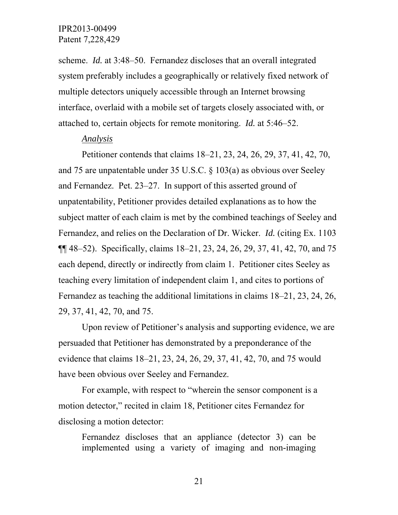scheme. *Id.* at 3:48–50. Fernandez discloses that an overall integrated system preferably includes a geographically or relatively fixed network of multiple detectors uniquely accessible through an Internet browsing interface, overlaid with a mobile set of targets closely associated with, or attached to, certain objects for remote monitoring. *Id.* at 5:46–52.

#### *Analysis*

Petitioner contends that claims 18–21, 23, 24, 26, 29, 37, 41, 42, 70, and 75 are unpatentable under 35 U.S.C. § 103(a) as obvious over Seeley and Fernandez. Pet. 23–27. In support of this asserted ground of unpatentability, Petitioner provides detailed explanations as to how the subject matter of each claim is met by the combined teachings of Seeley and Fernandez, and relies on the Declaration of Dr. Wicker. *Id.* (citing Ex. 1103 ¶¶ 48–52). Specifically, claims 18–21, 23, 24, 26, 29, 37, 41, 42, 70, and 75 each depend, directly or indirectly from claim 1. Petitioner cites Seeley as teaching every limitation of independent claim 1, and cites to portions of Fernandez as teaching the additional limitations in claims 18–21, 23, 24, 26, 29, 37, 41, 42, 70, and 75.

Upon review of Petitioner's analysis and supporting evidence, we are persuaded that Petitioner has demonstrated by a preponderance of the evidence that claims 18–21, 23, 24, 26, 29, 37, 41, 42, 70, and 75 would have been obvious over Seeley and Fernandez.

For example, with respect to "wherein the sensor component is a motion detector," recited in claim 18, Petitioner cites Fernandez for disclosing a motion detector:

Fernandez discloses that an appliance (detector 3) can be implemented using a variety of imaging and non-imaging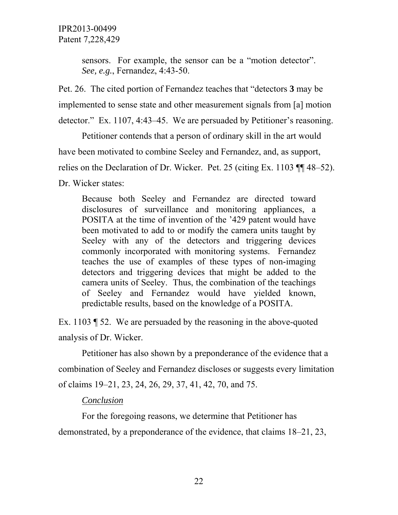sensors. For example, the sensor can be a "motion detector". *See, e.g.*, Fernandez, 4:43-50.

Pet. 26. The cited portion of Fernandez teaches that "detectors **3** may be implemented to sense state and other measurement signals from [a] motion detector." Ex. 1107, 4:43–45. We are persuaded by Petitioner's reasoning.

Petitioner contends that a person of ordinary skill in the art would have been motivated to combine Seeley and Fernandez, and, as support, relies on the Declaration of Dr. Wicker. Pet. 25 (citing Ex. 1103 ¶¶ 48–52). Dr. Wicker states:

Because both Seeley and Fernandez are directed toward disclosures of surveillance and monitoring appliances, a POSITA at the time of invention of the '429 patent would have been motivated to add to or modify the camera units taught by Seeley with any of the detectors and triggering devices commonly incorporated with monitoring systems. Fernandez teaches the use of examples of these types of non-imaging detectors and triggering devices that might be added to the camera units of Seeley. Thus, the combination of the teachings of Seeley and Fernandez would have yielded known, predictable results, based on the knowledge of a POSITA.

Ex. 1103 ¶ 52. We are persuaded by the reasoning in the above-quoted analysis of Dr. Wicker.

Petitioner has also shown by a preponderance of the evidence that a combination of Seeley and Fernandez discloses or suggests every limitation of claims 19–21, 23, 24, 26, 29, 37, 41, 42, 70, and 75.

## *Conclusion*

For the foregoing reasons, we determine that Petitioner has demonstrated, by a preponderance of the evidence, that claims 18–21, 23,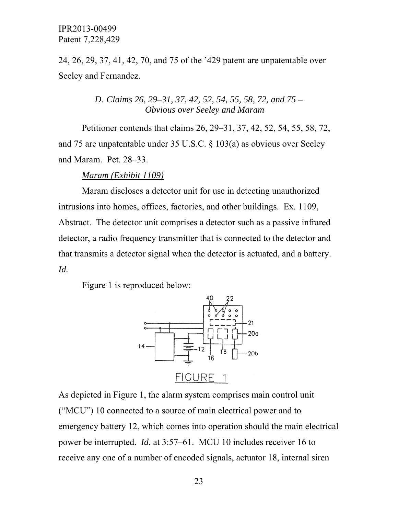24, 26, 29, 37, 41, 42, 70, and 75 of the '429 patent are unpatentable over Seeley and Fernandez.

> *D. Claims 26, 29–31, 37, 42, 52, 54, 55, 58, 72, and 75 – Obvious over Seeley and Maram*

Petitioner contends that claims 26, 29–31, 37, 42, 52, 54, 55, 58, 72, and 75 are unpatentable under 35 U.S.C. § 103(a) as obvious over Seeley and Maram. Pet. 28–33.

#### *Maram (Exhibit 1109)*

Maram discloses a detector unit for use in detecting unauthorized intrusions into homes, offices, factories, and other buildings. Ex. 1109, Abstract. The detector unit comprises a detector such as a passive infrared detector, a radio frequency transmitter that is connected to the detector and that transmits a detector signal when the detector is actuated, and a battery. *Id.*

Figure 1 is reproduced below:



As depicted in Figure 1, the alarm system comprises main control unit ("MCU") 10 connected to a source of main electrical power and to emergency battery 12, which comes into operation should the main electrical power be interrupted. *Id.* at 3:57–61. MCU 10 includes receiver 16 to receive any one of a number of encoded signals, actuator 18, internal siren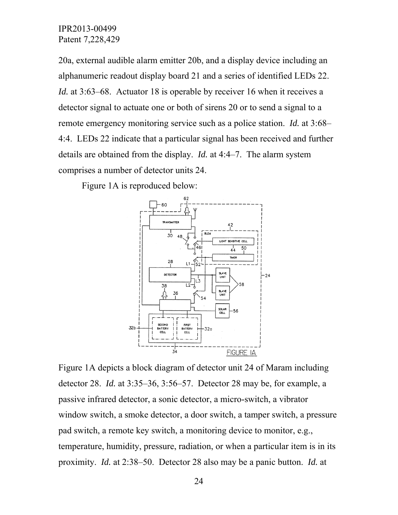20a, external audible alarm emitter 20b, and a display device including an alphanumeric readout display board 21 and a series of identified LEDs 22. *Id.* at 3:63–68. Actuator 18 is operable by receiver 16 when it receives a detector signal to actuate one or both of sirens 20 or to send a signal to a remote emergency monitoring service such as a police station. *Id.* at 3:68– 4:4. LEDs 22 indicate that a particular signal has been received and further details are obtained from the display. *Id.* at 4:4–7. The alarm system comprises a number of detector units 24.

Figure 1A is reproduced below:



Figure 1A depicts a block diagram of detector unit 24 of Maram including detector 28. *Id.* at 3:35–36, 3:56–57. Detector 28 may be, for example, a passive infrared detector, a sonic detector, a micro-switch, a vibrator window switch, a smoke detector, a door switch, a tamper switch, a pressure pad switch, a remote key switch, a monitoring device to monitor, e.g., temperature, humidity, pressure, radiation, or when a particular item is in its proximity. *Id.* at 2:38–50. Detector 28 also may be a panic button. *Id.* at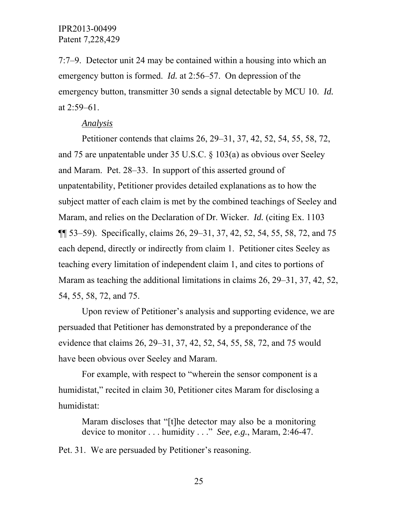7:7–9. Detector unit 24 may be contained within a housing into which an emergency button is formed. *Id.* at 2:56–57. On depression of the emergency button, transmitter 30 sends a signal detectable by MCU 10. *Id.*  at 2:59–61.

#### *Analysis*

Petitioner contends that claims 26, 29–31, 37, 42, 52, 54, 55, 58, 72, and 75 are unpatentable under 35 U.S.C. § 103(a) as obvious over Seeley and Maram. Pet. 28–33. In support of this asserted ground of unpatentability, Petitioner provides detailed explanations as to how the subject matter of each claim is met by the combined teachings of Seeley and Maram, and relies on the Declaration of Dr. Wicker. *Id.* (citing Ex. 1103 ¶¶ 53–59). Specifically, claims 26, 29–31, 37, 42, 52, 54, 55, 58, 72, and 75 each depend, directly or indirectly from claim 1. Petitioner cites Seeley as teaching every limitation of independent claim 1, and cites to portions of Maram as teaching the additional limitations in claims 26, 29–31, 37, 42, 52, 54, 55, 58, 72, and 75.

Upon review of Petitioner's analysis and supporting evidence, we are persuaded that Petitioner has demonstrated by a preponderance of the evidence that claims 26, 29–31, 37, 42, 52, 54, 55, 58, 72, and 75 would have been obvious over Seeley and Maram.

For example, with respect to "wherein the sensor component is a humidistat," recited in claim 30, Petitioner cites Maram for disclosing a humidistat:

Maram discloses that "[t]he detector may also be a monitoring device to monitor . . . humidity . . ." *See, e.g.*, Maram, 2:46-47.

Pet. 31. We are persuaded by Petitioner's reasoning.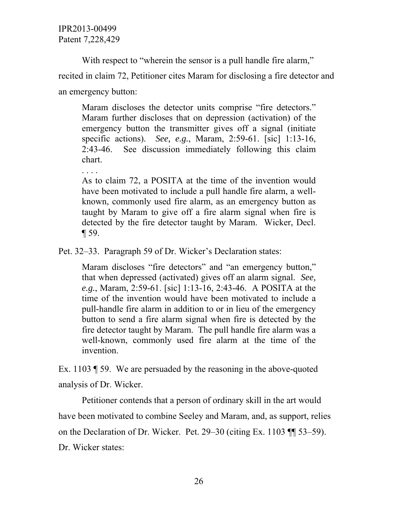. . . .

With respect to "wherein the sensor is a pull handle fire alarm,"

recited in claim 72, Petitioner cites Maram for disclosing a fire detector and an emergency button:

Maram discloses the detector units comprise "fire detectors." Maram further discloses that on depression (activation) of the emergency button the transmitter gives off a signal (initiate specific actions). *See, e.g.*, Maram, 2:59-61. [sic] 1:13-16, 2:43-46. See discussion immediately following this claim chart.

As to claim 72, a POSITA at the time of the invention would have been motivated to include a pull handle fire alarm, a wellknown, commonly used fire alarm, as an emergency button as taught by Maram to give off a fire alarm signal when fire is detected by the fire detector taught by Maram. Wicker, Decl. ¶ 59.

Pet. 32–33. Paragraph 59 of Dr. Wicker's Declaration states:

Maram discloses "fire detectors" and "an emergency button," that when depressed (activated) gives off an alarm signal. *See, e.g.*, Maram, 2:59-61. [sic] 1:13-16, 2:43-46. A POSITA at the time of the invention would have been motivated to include a pull-handle fire alarm in addition to or in lieu of the emergency button to send a fire alarm signal when fire is detected by the fire detector taught by Maram. The pull handle fire alarm was a well-known, commonly used fire alarm at the time of the invention.

Ex. 1103 ¶ 59. We are persuaded by the reasoning in the above-quoted analysis of Dr. Wicker.

Petitioner contends that a person of ordinary skill in the art would have been motivated to combine Seeley and Maram, and, as support, relies on the Declaration of Dr. Wicker. Pet. 29–30 (citing Ex. 1103 ¶¶ 53–59). Dr. Wicker states: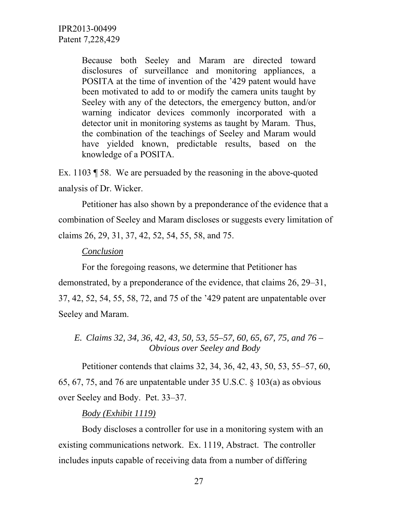> Because both Seeley and Maram are directed toward disclosures of surveillance and monitoring appliances, a POSITA at the time of invention of the '429 patent would have been motivated to add to or modify the camera units taught by Seeley with any of the detectors, the emergency button, and/or warning indicator devices commonly incorporated with a detector unit in monitoring systems as taught by Maram. Thus, the combination of the teachings of Seeley and Maram would have yielded known, predictable results, based on the knowledge of a POSITA.

Ex. 1103 ¶ 58. We are persuaded by the reasoning in the above-quoted analysis of Dr. Wicker.

Petitioner has also shown by a preponderance of the evidence that a combination of Seeley and Maram discloses or suggests every limitation of claims 26, 29, 31, 37, 42, 52, 54, 55, 58, and 75.

#### *Conclusion*

For the foregoing reasons, we determine that Petitioner has demonstrated, by a preponderance of the evidence, that claims 26, 29–31, 37, 42, 52, 54, 55, 58, 72, and 75 of the '429 patent are unpatentable over Seeley and Maram.

*E. Claims 32, 34, 36, 42, 43, 50, 53, 55–57, 60, 65, 67, 75, and 76 – Obvious over Seeley and Body* 

Petitioner contends that claims 32, 34, 36, 42, 43, 50, 53, 55–57, 60, 65, 67, 75, and 76 are unpatentable under 35 U.S.C. § 103(a) as obvious over Seeley and Body. Pet. 33–37.

#### *Body (Exhibit 1119)*

Body discloses a controller for use in a monitoring system with an existing communications network. Ex. 1119, Abstract. The controller includes inputs capable of receiving data from a number of differing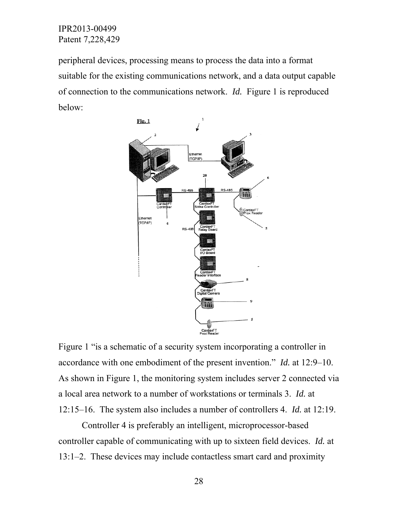peripheral devices, processing means to process the data into a format suitable for the existing communications network, and a data output capable of connection to the communications network. *Id.* Figure 1 is reproduced below:



Figure 1 "is a schematic of a security system incorporating a controller in accordance with one embodiment of the present invention." *Id.* at 12:9–10. As shown in Figure 1, the monitoring system includes server 2 connected via a local area network to a number of workstations or terminals 3. *Id.* at 12:15–16. The system also includes a number of controllers 4. *Id.* at 12:19.

Controller 4 is preferably an intelligent, microprocessor-based controller capable of communicating with up to sixteen field devices. *Id.* at 13:1–2. These devices may include contactless smart card and proximity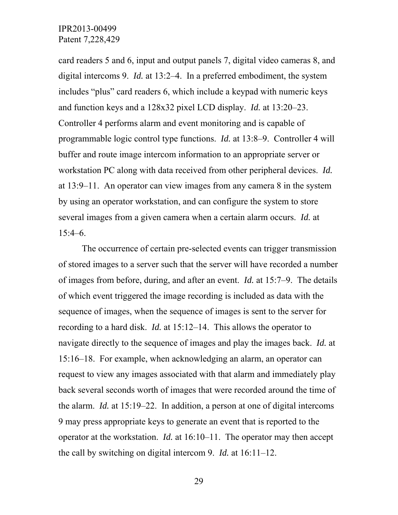card readers 5 and 6, input and output panels 7, digital video cameras 8, and digital intercoms 9. *Id.* at 13:2–4. In a preferred embodiment, the system includes "plus" card readers 6, which include a keypad with numeric keys and function keys and a 128x32 pixel LCD display. *Id.* at 13:20–23. Controller 4 performs alarm and event monitoring and is capable of programmable logic control type functions. *Id.* at 13:8–9. Controller 4 will buffer and route image intercom information to an appropriate server or workstation PC along with data received from other peripheral devices. *Id.*  at 13:9–11. An operator can view images from any camera 8 in the system by using an operator workstation, and can configure the system to store several images from a given camera when a certain alarm occurs. *Id.* at  $15:4–6.$ 

The occurrence of certain pre-selected events can trigger transmission of stored images to a server such that the server will have recorded a number of images from before, during, and after an event. *Id.* at 15:7–9. The details of which event triggered the image recording is included as data with the sequence of images, when the sequence of images is sent to the server for recording to a hard disk. *Id.* at 15:12–14. This allows the operator to navigate directly to the sequence of images and play the images back. *Id.* at 15:16–18. For example, when acknowledging an alarm, an operator can request to view any images associated with that alarm and immediately play back several seconds worth of images that were recorded around the time of the alarm. *Id.* at 15:19–22. In addition, a person at one of digital intercoms 9 may press appropriate keys to generate an event that is reported to the operator at the workstation. *Id.* at 16:10–11. The operator may then accept the call by switching on digital intercom 9. *Id.* at 16:11–12.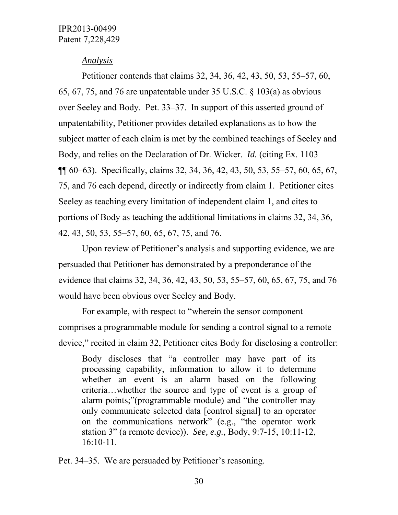#### *Analysis*

Petitioner contends that claims 32, 34, 36, 42, 43, 50, 53, 55–57, 60, 65, 67, 75, and 76 are unpatentable under 35 U.S.C. § 103(a) as obvious over Seeley and Body. Pet. 33–37. In support of this asserted ground of unpatentability, Petitioner provides detailed explanations as to how the subject matter of each claim is met by the combined teachings of Seeley and Body, and relies on the Declaration of Dr. Wicker. *Id.* (citing Ex. 1103 ¶¶ 60–63). Specifically, claims 32, 34, 36, 42, 43, 50, 53, 55–57, 60, 65, 67, 75, and 76 each depend, directly or indirectly from claim 1. Petitioner cites Seeley as teaching every limitation of independent claim 1, and cites to portions of Body as teaching the additional limitations in claims 32, 34, 36, 42, 43, 50, 53, 55–57, 60, 65, 67, 75, and 76.

Upon review of Petitioner's analysis and supporting evidence, we are persuaded that Petitioner has demonstrated by a preponderance of the evidence that claims 32, 34, 36, 42, 43, 50, 53, 55–57, 60, 65, 67, 75, and 76 would have been obvious over Seeley and Body.

For example, with respect to "wherein the sensor component comprises a programmable module for sending a control signal to a remote device," recited in claim 32, Petitioner cites Body for disclosing a controller:

Body discloses that "a controller may have part of its processing capability, information to allow it to determine whether an event is an alarm based on the following criteria…whether the source and type of event is a group of alarm points;"(programmable module) and "the controller may only communicate selected data [control signal] to an operator on the communications network" (e.g., "the operator work station 3" (a remote device)). *See, e.g.*, Body, 9:7-15, 10:11-12, 16:10-11.

Pet. 34–35. We are persuaded by Petitioner's reasoning.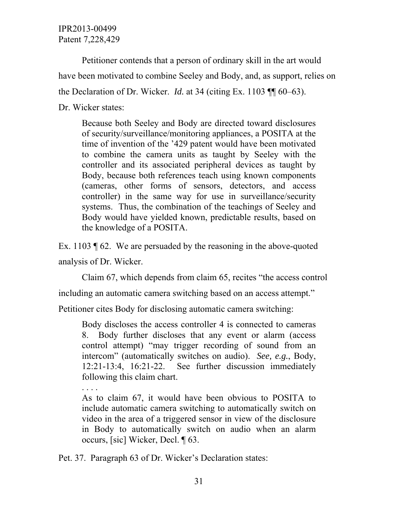Petitioner contends that a person of ordinary skill in the art would have been motivated to combine Seeley and Body, and, as support, relies on the Declaration of Dr. Wicker. *Id.* at 34 (citing Ex. 1103 ¶¶ 60–63). Dr. Wicker states:

Because both Seeley and Body are directed toward disclosures of security/surveillance/monitoring appliances, a POSITA at the time of invention of the '429 patent would have been motivated to combine the camera units as taught by Seeley with the controller and its associated peripheral devices as taught by Body, because both references teach using known components (cameras, other forms of sensors, detectors, and access controller) in the same way for use in surveillance/security systems. Thus, the combination of the teachings of Seeley and Body would have yielded known, predictable results, based on the knowledge of a POSITA.

Ex. 1103 ¶ 62. We are persuaded by the reasoning in the above-quoted analysis of Dr. Wicker.

Claim 67, which depends from claim 65, recites "the access control

including an automatic camera switching based on an access attempt."

Petitioner cites Body for disclosing automatic camera switching:

Body discloses the access controller 4 is connected to cameras 8. Body further discloses that any event or alarm (access control attempt) "may trigger recording of sound from an intercom" (automatically switches on audio). *See, e.g.*, Body, 12:21-13:4, 16:21-22. See further discussion immediately following this claim chart.

. . . .

As to claim 67, it would have been obvious to POSITA to include automatic camera switching to automatically switch on video in the area of a triggered sensor in view of the disclosure in Body to automatically switch on audio when an alarm occurs, [sic] Wicker, Decl. ¶ 63.

Pet. 37. Paragraph 63 of Dr. Wicker's Declaration states: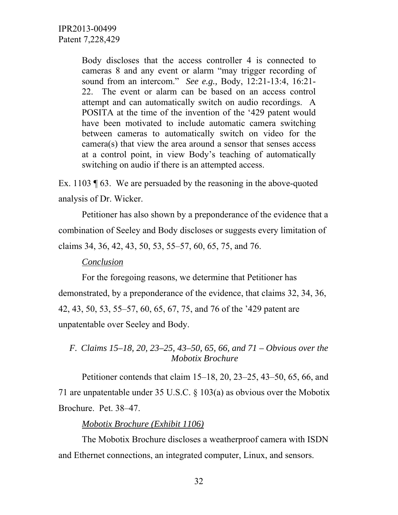Body discloses that the access controller 4 is connected to cameras 8 and any event or alarm "may trigger recording of sound from an intercom." *See e.g.,* Body, 12:21-13:4, 16:21- 22. The event or alarm can be based on an access control attempt and can automatically switch on audio recordings. A POSITA at the time of the invention of the '429 patent would have been motivated to include automatic camera switching between cameras to automatically switch on video for the camera(s) that view the area around a sensor that senses access at a control point, in view Body's teaching of automatically switching on audio if there is an attempted access.

Ex. 1103 ¶ 63. We are persuaded by the reasoning in the above-quoted analysis of Dr. Wicker.

Petitioner has also shown by a preponderance of the evidence that a combination of Seeley and Body discloses or suggests every limitation of claims 34, 36, 42, 43, 50, 53, 55–57, 60, 65, 75, and 76.

## *Conclusion*

For the foregoing reasons, we determine that Petitioner has demonstrated, by a preponderance of the evidence, that claims 32, 34, 36, 42, 43, 50, 53, 55–57, 60, 65, 67, 75, and 76 of the '429 patent are unpatentable over Seeley and Body.

*F. Claims 15–18, 20, 23–25, 43–50, 65, 66, and 71 – Obvious over the Mobotix Brochure*

Petitioner contends that claim 15–18, 20, 23–25, 43–50, 65, 66, and 71 are unpatentable under 35 U.S.C. § 103(a) as obvious over the Mobotix Brochure. Pet. 38–47.

#### *Mobotix Brochure (Exhibit 1106)*

The Mobotix Brochure discloses a weatherproof camera with ISDN and Ethernet connections, an integrated computer, Linux, and sensors.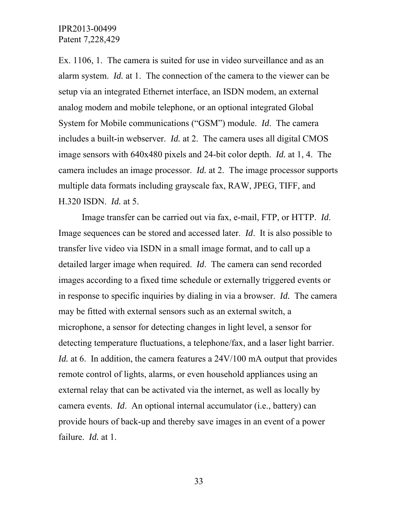Ex. 1106, 1. The camera is suited for use in video surveillance and as an alarm system. *Id.* at 1. The connection of the camera to the viewer can be setup via an integrated Ethernet interface, an ISDN modem, an external analog modem and mobile telephone, or an optional integrated Global System for Mobile communications ("GSM") module. *Id*. The camera includes a built-in webserver. *Id.* at 2. The camera uses all digital CMOS image sensors with 640x480 pixels and 24-bit color depth. *Id.* at 1, 4. The camera includes an image processor. *Id.* at 2. The image processor supports multiple data formats including grayscale fax, RAW, JPEG, TIFF, and H.320 ISDN. *Id.* at 5.

Image transfer can be carried out via fax, e-mail, FTP, or HTTP. *Id*. Image sequences can be stored and accessed later. *Id*. It is also possible to transfer live video via ISDN in a small image format, and to call up a detailed larger image when required. *Id*. The camera can send recorded images according to a fixed time schedule or externally triggered events or in response to specific inquiries by dialing in via a browser. *Id.* The camera may be fitted with external sensors such as an external switch, a microphone, a sensor for detecting changes in light level, a sensor for detecting temperature fluctuations, a telephone/fax, and a laser light barrier. *Id.* at 6. In addition, the camera features a 24V/100 mA output that provides remote control of lights, alarms, or even household appliances using an external relay that can be activated via the internet, as well as locally by camera events. *Id*. An optional internal accumulator (i.e., battery) can provide hours of back-up and thereby save images in an event of a power failure. *Id.* at 1.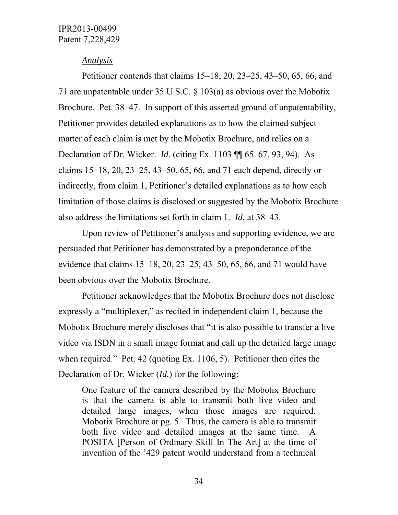#### *Analysis*

Petitioner contends that claims 15–18, 20, 23–25, 43–50, 65, 66, and 71 are unpatentable under 35 U.S.C. § 103(a) as obvious over the Mobotix Brochure. Pet. 38–47. In support of this asserted ground of unpatentability, Petitioner provides detailed explanations as to how the claimed subject matter of each claim is met by the Mobotix Brochure, and relies on a Declaration of Dr. Wicker. *Id.* (citing Ex. 1103 ¶¶ 65–67, 93, 94). As claims 15–18, 20, 23–25, 43–50, 65, 66, and 71 each depend, directly or indirectly, from claim 1, Petitioner's detailed explanations as to how each limitation of those claims is disclosed or suggested by the Mobotix Brochure also address the limitations set forth in claim 1. *Id.* at 38–43.

Upon review of Petitioner's analysis and supporting evidence, we are persuaded that Petitioner has demonstrated by a preponderance of the evidence that claims 15–18, 20, 23–25, 43–50, 65, 66, and 71 would have been obvious over the Mobotix Brochure.

Petitioner acknowledges that the Mobotix Brochure does not disclose expressly a "multiplexer," as recited in independent claim 1, because the Mobotix Brochure merely discloses that "it is also possible to transfer a live video via ISDN in a small image format and call up the detailed large image when required." Pet. 42 (quoting Ex. 1106, 5). Petitioner then cites the Declaration of Dr. Wicker (*Id.*) for the following:

One feature of the camera described by the Mobotix Brochure is that the camera is able to transmit both live video and detailed large images, when those images are required. Mobotix Brochure at pg. 5. Thus, the camera is able to transmit both live video and detailed images at the same time. A POSITA [Person of Ordinary Skill In The Art] at the time of invention of the '429 patent would understand from a technical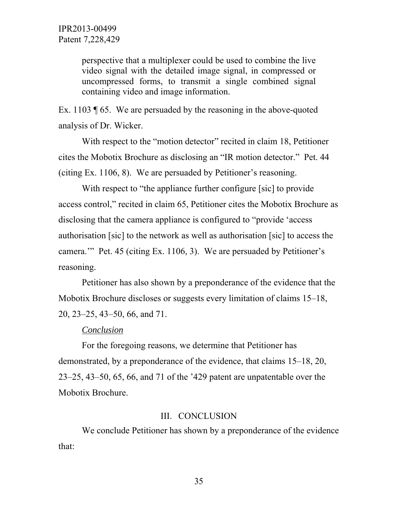perspective that a multiplexer could be used to combine the live video signal with the detailed image signal, in compressed or uncompressed forms, to transmit a single combined signal containing video and image information.

Ex. 1103 ¶ 65. We are persuaded by the reasoning in the above-quoted analysis of Dr. Wicker.

With respect to the "motion detector" recited in claim 18, Petitioner cites the Mobotix Brochure as disclosing an "IR motion detector." Pet. 44 (citing Ex. 1106, 8). We are persuaded by Petitioner's reasoning.

With respect to "the appliance further configure [sic] to provide access control," recited in claim 65, Petitioner cites the Mobotix Brochure as disclosing that the camera appliance is configured to "provide 'access authorisation [sic] to the network as well as authorisation [sic] to access the camera.'" Pet. 45 (citing Ex. 1106, 3). We are persuaded by Petitioner's reasoning.

Petitioner has also shown by a preponderance of the evidence that the Mobotix Brochure discloses or suggests every limitation of claims 15–18, 20, 23–25, 43–50, 66, and 71.

#### *Conclusion*

For the foregoing reasons, we determine that Petitioner has demonstrated, by a preponderance of the evidence, that claims 15–18, 20, 23–25, 43–50, 65, 66, and 71 of the '429 patent are unpatentable over the Mobotix Brochure.

#### III. CONCLUSION

We conclude Petitioner has shown by a preponderance of the evidence that: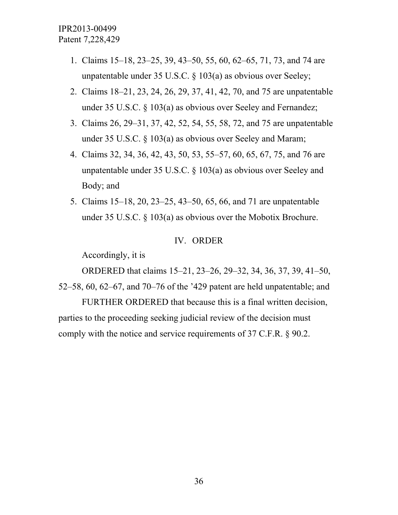- 1. Claims 15–18, 23–25, 39, 43–50, 55, 60, 62–65, 71, 73, and 74 are unpatentable under 35 U.S.C. § 103(a) as obvious over Seeley;
- 2. Claims 18–21, 23, 24, 26, 29, 37, 41, 42, 70, and 75 are unpatentable under 35 U.S.C. § 103(a) as obvious over Seeley and Fernandez;
- 3. Claims 26, 29–31, 37, 42, 52, 54, 55, 58, 72, and 75 are unpatentable under 35 U.S.C. § 103(a) as obvious over Seeley and Maram;
- 4. Claims 32, 34, 36, 42, 43, 50, 53, 55–57, 60, 65, 67, 75, and 76 are unpatentable under 35 U.S.C. § 103(a) as obvious over Seeley and Body; and
- 5. Claims 15–18, 20, 23–25, 43–50, 65, 66, and 71 are unpatentable under 35 U.S.C. § 103(a) as obvious over the Mobotix Brochure.

#### IV. ORDER

Accordingly, it is

ORDERED that claims 15–21, 23–26, 29–32, 34, 36, 37, 39, 41–50,

52–58, 60, 62–67, and 70–76 of the '429 patent are held unpatentable; and

FURTHER ORDERED that because this is a final written decision, parties to the proceeding seeking judicial review of the decision must comply with the notice and service requirements of 37 C.F.R. § 90.2.